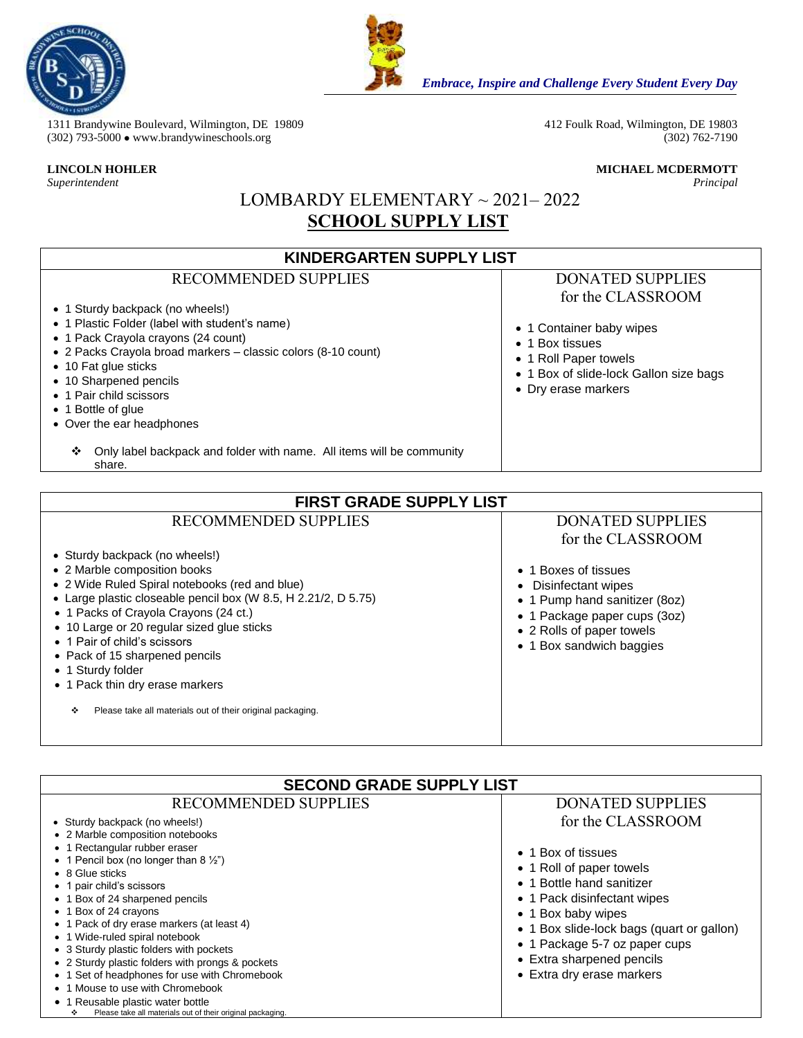



*Embrace, Inspire and Challenge Every Student Every Day*

1311 Brandywine Boulevard, Wilmington, DE 19809 412 Foulk Road, Wilmington, DE 19803<br>
(302) 793-5000 • www.brandywineschools.org (302) 762-7190 (302) 793-5000  $\bullet$  www.brandywineschools.org

*Superintendent Principal*

**LINCOLN HOHLER MICHAEL MCDERMOTT**

# LOMBARDY ELEMENTARY ~ 2021– 2022  **SCHOOL SUPPLY LIST**

| <b>KINDERGARTEN SUPPLY LIST</b>                                                                      |                                        |  |
|------------------------------------------------------------------------------------------------------|----------------------------------------|--|
| <b>RECOMMENDED SUPPLIES</b>                                                                          | <b>DONATED SUPPLIES</b>                |  |
|                                                                                                      | for the CLASSROOM                      |  |
| • 1 Sturdy backpack (no wheels!)                                                                     |                                        |  |
| • 1 Plastic Folder (label with student's name)                                                       | • 1 Container baby wipes               |  |
| • 1 Pack Crayola crayons (24 count)<br>• 2 Packs Crayola broad markers - classic colors (8-10 count) | 1 Box tissues<br>$\bullet$             |  |
| • 10 Fat glue sticks                                                                                 | • 1 Roll Paper towels                  |  |
| • 10 Sharpened pencils                                                                               | • 1 Box of slide-lock Gallon size bags |  |
| • 1 Pair child scissors                                                                              | • Dry erase markers                    |  |
| 1 Bottle of glue                                                                                     |                                        |  |
| • Over the ear headphones                                                                            |                                        |  |
| Only label backpack and folder with name. All items will be community<br>❖<br>share.                 |                                        |  |
|                                                                                                      |                                        |  |
| <b>FIRST GRADE SUPPLY LIST</b>                                                                       |                                        |  |
| <b>RECOMMENDED SUPPLIES</b>                                                                          | <b>DONATED SUPPLIES</b>                |  |
|                                                                                                      | for the CLASSROOM                      |  |
| • Sturdy backpack (no wheels!)                                                                       |                                        |  |
| • 2 Marble composition books                                                                         | 1 Boxes of tissues                     |  |
| • 2 Wide Ruled Spiral notebooks (red and blue)                                                       | Disinfectant wipes                     |  |
| • Large plastic closeable pencil box (W 8.5, H 2.21/2, D 5.75)                                       | 1 Pump hand sanitizer (8oz)            |  |
| • 1 Packs of Crayola Crayons (24 ct.)<br>• 10 Large or 20 regular sized glue sticks                  | 1 Package paper cups (3oz)             |  |
| • 1 Pair of child's scissors                                                                         | • 2 Rolls of paper towels              |  |
| • Pack of 15 sharpened pencils                                                                       | • 1 Box sandwich baggies               |  |
| • 1 Sturdy folder                                                                                    |                                        |  |
| • 1 Pack thin dry erase markers                                                                      |                                        |  |
| Please take all materials out of their original packaging.<br>٠                                      |                                        |  |

| <b>DONATED SUPPLIES</b>                                                                                                                                                                                                                                                                       |
|-----------------------------------------------------------------------------------------------------------------------------------------------------------------------------------------------------------------------------------------------------------------------------------------------|
| for the CLASSROOM<br>• 1 Box of tissues<br>• 1 Roll of paper towels<br>• 1 Bottle hand sanitizer<br>• 1 Pack disinfectant wipes<br>• 1 Box baby wipes<br>• 1 Box slide-lock bags (quart or gallon)<br>• 1 Package 5-7 oz paper cups<br>• Extra sharpened pencils<br>• Extra dry erase markers |
|                                                                                                                                                                                                                                                                                               |